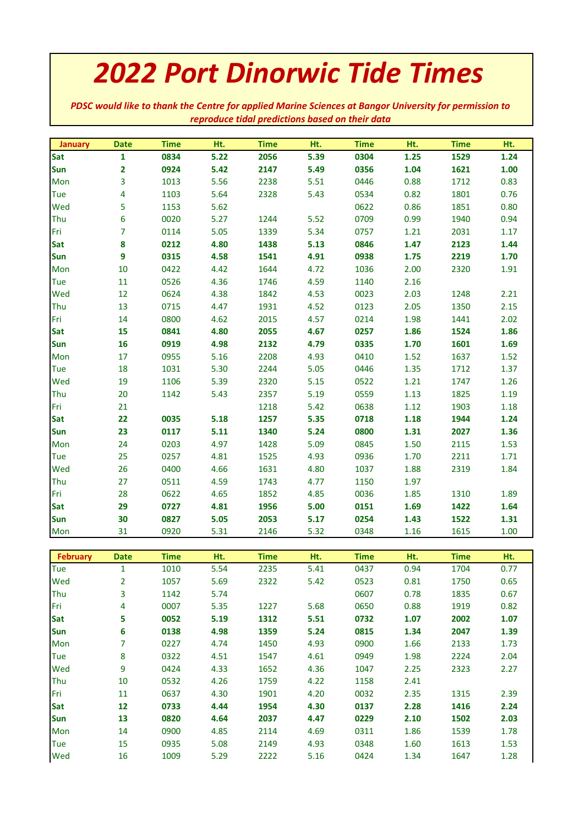## *2022 Port Dinorwic Tide Times*

*PDSC would like to thank the Centre for applied Marine Sciences at Bangor University for permission to reproduce tidal predictions based on their data*

| January         | <b>Date</b>             | <b>Time</b>  | Ht.          | <b>Time</b>  | Ht.  | <b>Time</b>  | Ht.          | <b>Time</b>  | Ht.  |
|-----------------|-------------------------|--------------|--------------|--------------|------|--------------|--------------|--------------|------|
| <b>Sat</b>      | $\mathbf{1}$            | 0834         | 5.22         | 2056         | 5.39 | 0304         | 1.25         | 1529         | 1.24 |
| Sun             | $\overline{\mathbf{2}}$ | 0924         | 5.42         | 2147         | 5.49 | 0356         | 1.04         | 1621         | 1.00 |
| Mon             | 3                       | 1013         | 5.56         | 2238         | 5.51 | 0446         | 0.88         | 1712         | 0.83 |
| <b>Tue</b>      | 4                       | 1103         | 5.64         | 2328         | 5.43 | 0534         | 0.82         | 1801         | 0.76 |
| Wed             | 5                       | 1153         | 5.62         |              |      | 0622         | 0.86         | 1851         | 0.80 |
| Thu             | 6                       | 0020         | 5.27         | 1244         | 5.52 | 0709         | 0.99         | 1940         | 0.94 |
| Fri             | $\overline{7}$          | 0114         | 5.05         | 1339         | 5.34 | 0757         | 1.21         | 2031         | 1.17 |
| Sat             | 8                       | 0212         | 4.80         | 1438         | 5.13 | 0846         | 1.47         | 2123         | 1.44 |
| <b>Sun</b>      | 9                       | 0315         | 4.58         | 1541         | 4.91 | 0938         | 1.75         | 2219         | 1.70 |
| Mon             | 10                      | 0422         | 4.42         | 1644         | 4.72 | 1036         | 2.00         | 2320         | 1.91 |
| <b>Tue</b>      | $11\,$                  | 0526         | 4.36         | 1746         | 4.59 | 1140         | 2.16         |              |      |
| Wed             | 12                      | 0624         | 4.38         | 1842         | 4.53 | 0023         | 2.03         | 1248         | 2.21 |
| Thu             | 13                      | 0715         | 4.47         | 1931         | 4.52 | 0123         | 2.05         | 1350         | 2.15 |
| Fri             | 14                      | 0800         | 4.62         | 2015         | 4.57 | 0214         | 1.98         | 1441         | 2.02 |
| Sat             | 15                      | 0841         | 4.80         | 2055         | 4.67 | 0257         | 1.86         | 1524         | 1.86 |
| Sun             | 16                      | 0919         | 4.98         | 2132         | 4.79 | 0335         | 1.70         | 1601         | 1.69 |
| Mon             | 17                      | 0955         | 5.16         | 2208         | 4.93 | 0410         | 1.52         | 1637         | 1.52 |
| <b>Tue</b>      | 18                      | 1031         | 5.30         | 2244         | 5.05 | 0446         | 1.35         | 1712         | 1.37 |
| Wed             | 19                      | 1106         | 5.39         | 2320         | 5.15 | 0522         | 1.21         | 1747         | 1.26 |
| Thu             | 20                      | 1142         | 5.43         | 2357         | 5.19 | 0559         | 1.13         | 1825         | 1.19 |
| Fri             | 21                      |              |              | 1218         | 5.42 | 0638         | $1.12$       | 1903         | 1.18 |
| Sat             | 22                      | 0035         | 5.18         | 1257         | 5.35 | 0718         | 1.18         | 1944         | 1.24 |
| <b>Sun</b>      | 23                      | 0117         | 5.11         | 1340         | 5.24 | 0800         | 1.31         | 2027         | 1.36 |
| Mon             | 24                      | 0203         | 4.97         | 1428         | 5.09 | 0845         | 1.50         | 2115         | 1.53 |
| Tue             | 25                      | 0257         | 4.81         | 1525         | 4.93 | 0936         | 1.70         | 2211         | 1.71 |
| Wed             | 26                      | 0400         | 4.66         | 1631         | 4.80 | 1037         | 1.88         | 2319         | 1.84 |
| Thu             | 27                      | 0511         | 4.59         | 1743         | 4.77 | 1150         | 1.97         |              |      |
| Fri             | 28                      | 0622         | 4.65         | 1852         | 4.85 | 0036         | 1.85         | 1310         | 1.89 |
| Sat             | 29                      | 0727         | 4.81         | 1956         | 5.00 | 0151         | 1.69         | 1422         | 1.64 |
| Sun             | 30                      | 0827         | 5.05         | 2053         | 5.17 | 0254         | 1.43         | 1522         | 1.31 |
| Mon             | 31                      | 0920         | 5.31         | 2146         | 5.32 | 0348         | 1.16         | 1615         | 1.00 |
|                 |                         |              |              |              |      |              |              |              |      |
| <b>February</b> | <b>Date</b>             | <b>Time</b>  | Ht.          | <b>Time</b>  | Ht.  | <b>Time</b>  | Ht.          | <b>Time</b>  | Ht.  |
| Tue             | $\mathbf{1}$            | 1010         | 5.54         | 2235         | 5.41 | 0437         | 0.94         | 1704         | 0.77 |
| Wed             | 2                       | 1057         | 5.69         | 2322         | 5.42 | 0523         | 0.81         | 1750         | 0.65 |
| Thu             | 3                       | 1142         | 5.74         |              |      | 0607         | 0.78         | 1835         | 0.67 |
| Fri             | 4                       | 0007         | 5.35         | 1227         | 5.68 | 0650         | 0.88         | 1919         | 0.82 |
| Sat             | 5                       | 0052         | 5.19         | 1312         | 5.51 | 0732         | 1.07         | 2002         | 1.07 |
| <b>Sun</b>      | 6                       | 0138         | 4.98         | 1359         | 5.24 | 0815         | 1.34         | 2047         | 1.39 |
| Mon             | 7                       | 0227         | 4.74         | 1450         | 4.93 | 0900         | 1.66         | 2133         | 1.73 |
| Tue             | 8                       | 0322         | 4.51         | 1547         | 4.61 | 0949         | 1.98         | 2224         | 2.04 |
| Wed             | 9                       | 0424         | 4.33         | 1652         | 4.36 | 1047         | 2.25         | 2323         | 2.27 |
| Thu<br>Fri      | 10                      | 0532         | 4.26         | 1759         | 4.22 | 1158         | 2.41         |              |      |
| Sat             | 11                      | 0637         | 4.30         | 1901         | 4.20 | 0032         | 2.35         | 1315         | 2.39 |
| <b>Sun</b>      | 12                      | 0733<br>0820 | 4.44<br>4.64 | 1954         | 4.30 | 0137         | 2.28         | 1416         | 2.24 |
|                 | 13<br>14                |              | 4.85         | 2037         | 4.47 | 0229         | 2.10<br>1.86 | 1502         | 2.03 |
| Mon             | 15                      | 0900<br>0935 | 5.08         | 2114<br>2149 | 4.69 | 0311<br>0348 | 1.60         | 1539         | 1.78 |
| Tue<br>Wed      | 16                      |              | 5.29         | 2222         | 4.93 | 0424         |              | 1613<br>1647 | 1.53 |
|                 |                         | 1009         |              |              | 5.16 |              | 1.34         |              | 1.28 |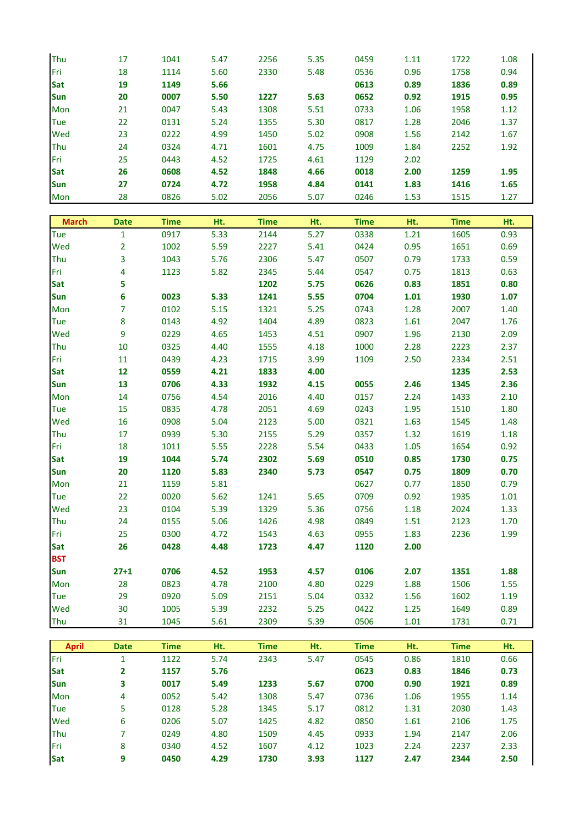| Thu          | 17             | 1041         | 5.47         | 2256        | 5.35 | 0459         | 1.11         | 1722         | 1.08         |
|--------------|----------------|--------------|--------------|-------------|------|--------------|--------------|--------------|--------------|
| Fri          | 18             | 1114         | 5.60         | 2330        | 5.48 | 0536         | 0.96         | 1758         | 0.94         |
| Sat          | 19             | 1149         | 5.66         |             |      | 0613         | 0.89         | 1836         | 0.89         |
| Sun          | 20             | 0007         | 5.50         | 1227        | 5.63 | 0652         | 0.92         | 1915         | 0.95         |
| Mon          | 21             | 0047         | 5.43         | 1308        | 5.51 | 0733         | 1.06         | 1958         | 1.12         |
| <b>Tue</b>   | 22             | 0131         | 5.24         | 1355        | 5.30 | 0817         | 1.28         | 2046         | 1.37         |
| Wed          | 23             | 0222         | 4.99         | 1450        | 5.02 | 0908         | 1.56         | 2142         | 1.67         |
| Thu          | 24             | 0324         | 4.71         | 1601        | 4.75 | 1009         | 1.84         | 2252         | 1.92         |
| Fri          | 25             | 0443         | 4.52         | 1725        | 4.61 | 1129         | 2.02         |              |              |
| Sat          | 26             | 0608         | 4.52         | 1848        | 4.66 | 0018         | 2.00         | 1259         | 1.95         |
| Sun          | 27             | 0724         | 4.72         | 1958        | 4.84 | 0141         | 1.83         | 1416         | 1.65         |
| Mon          | 28             | 0826         | 5.02         | 2056        | 5.07 | 0246         | 1.53         | 1515         | 1.27         |
|              |                |              |              |             |      |              |              |              |              |
| <b>March</b> | <b>Date</b>    | <b>Time</b>  | Ht.          | <b>Time</b> | Ht.  | <b>Time</b>  | Ht.          | <b>Time</b>  | Ht.          |
| Tue          | $\mathbf{1}$   | 0917         | 5.33         | 2144        | 5.27 | 0338         | 1.21         | 1605         | 0.93         |
| Wed          | $\overline{2}$ | 1002         | 5.59         | 2227        | 5.41 | 0424         | 0.95         | 1651         | 0.69         |
| Thu          | 3              | 1043         | 5.76         | 2306        | 5.47 | 0507         | 0.79         | 1733         | 0.59         |
| Fri          | 4              | 1123         | 5.82         | 2345        | 5.44 | 0547         | 0.75         | 1813         | 0.63         |
| <b>Sat</b>   | 5              |              |              | 1202        | 5.75 | 0626         | 0.83         | 1851         | 0.80         |
| Sun          | 6              | 0023         | 5.33         | 1241        | 5.55 | 0704         | 1.01         | 1930         | 1.07         |
| Mon          | 7              | 0102         | 5.15         | 1321        | 5.25 | 0743         | 1.28         | 2007         | 1.40         |
| <b>Tue</b>   | ${\bf 8}$      | 0143         | 4.92         | 1404        | 4.89 | 0823         | 1.61         | 2047         | 1.76         |
| Wed          | 9              | 0229         | 4.65         | 1453        | 4.51 | 0907         | 1.96         | 2130         | 2.09         |
| Thu          | 10             | 0325         | 4.40         | 1555        | 4.18 | 1000         | 2.28         | 2223         | 2.37         |
| Fri          | 11             | 0439         | 4.23         | 1715        | 3.99 | 1109         | 2.50         | 2334         | 2.51         |
| Sat          | 12             | 0559         | 4.21         | 1833        | 4.00 |              |              | 1235         | 2.53         |
| Sun          | 13             | 0706         | 4.33         | 1932        | 4.15 | 0055         | 2.46         | 1345         | 2.36         |
| Mon          | 14             | 0756         | 4.54         | 2016        | 4.40 | 0157         | 2.24         | 1433         | 2.10         |
| Tue          | 15             | 0835         | 4.78         | 2051        | 4.69 | 0243         | 1.95         | 1510         | 1.80         |
| Wed          | 16             | 0908         | 5.04         | 2123        | 5.00 | 0321         | 1.63         | 1545         | 1.48         |
| Thu          | 17             | 0939         | 5.30         | 2155        | 5.29 | 0357         | 1.32         | 1619         | 1.18         |
| Fri          | 18             | 1011         | 5.55         | 2228        | 5.54 | 0433         | 1.05         | 1654         | 0.92         |
| Sat          | 19             | 1044         | 5.74         | 2302        | 5.69 | 0510         | 0.85         | 1730         | 0.75         |
| Sun          | 20             | 1120         | 5.83         | 2340        | 5.73 | 0547         | 0.75         | 1809         | 0.70         |
| Mon          | 21             | 1159         | 5.81         |             |      | 0627         | 0.77         | 1850         | 0.79         |
| <b>Tue</b>   | 22             | 0020         | 5.62         | 1241        | 5.65 | 0709         | 0.92         | 1935         | 1.01         |
| Wed          | 23             | 0104         | 5.39         | 1329        | 5.36 | 0756         | 1.18         | 2024         | 1.33         |
| Thu          | 24             | 0155         | 5.06         | 1426        | 4.98 | 0849         | 1.51         | 2123         | 1.70         |
| Fri          | 25             | 0300         | 4.72         | 1543        | 4.63 | 0955         | 1.83         | 2236         | 1.99         |
| Sat          | 26             | 0428         | 4.48         | 1723        | 4.47 | 1120         | 2.00         |              |              |
| <b>BST</b>   |                |              |              |             |      |              |              |              |              |
| Sun          | $27 + 1$       | 0706         | 4.52         | 1953        | 4.57 | 0106         | 2.07         | 1351         | 1.88         |
| Mon          | 28             | 0823         | 4.78         | 2100        | 4.80 | 0229         | 1.88         | 1506         | 1.55         |
| Tue          | 29             | 0920         | 5.09         | 2151        | 5.04 | 0332         | 1.56         | 1602         | 1.19         |
| Wed          | 30             | 1005         | 5.39         | 2232        | 5.25 | 0422         | 1.25         | 1649         | 0.89         |
| Thu          | 31             | 1045         | 5.61         | 2309        | 5.39 | 0506         | 1.01         | 1731         | 0.71         |
|              |                |              |              |             |      |              |              |              |              |
| <b>April</b> | <b>Date</b>    | <b>Time</b>  | Ht.          | <b>Time</b> | Ht.  | <b>Time</b>  | Ht.          | <b>Time</b>  | Ht.          |
| Fri<br>Sat   | $\mathbf{1}$   | 1122<br>1157 | 5.74<br>5.76 | 2343        | 5.47 | 0545<br>0623 | 0.86<br>0.83 | 1810<br>1846 | 0.66<br>0.73 |
| Sun          | 2              | 0017         |              | 1233        | 5.67 | 0700         | 0.90         | 1921         | 0.89         |
|              | 3              | 0052         | 5.49<br>5.42 | 1308        | 5.47 |              | 1.06         | 1955         | 1.14         |
| Mon<br>Tue   | 4<br>5         | 0128         | 5.28         | 1345        | 5.17 | 0736<br>0812 | 1.31         | 2030         | 1.43         |
| Wed          | 6              | 0206         | 5.07         | 1425        | 4.82 | 0850         | 1.61         | 2106         | 1.75         |
| Thu          | 7              | 0249         | 4.80         | 1509        | 4.45 | 0933         | 1.94         | 2147         | 2.06         |
| Fri          | 8              | 0340         | 4.52         | 1607        | 4.12 | 1023         | 2.24         | 2237         | 2.33         |
| <b>Sat</b>   | 9              | 0450         | 4.29         | 1730        | 3.93 | 1127         | 2.47         | 2344         | 2.50         |
|              |                |              |              |             |      |              |              |              |              |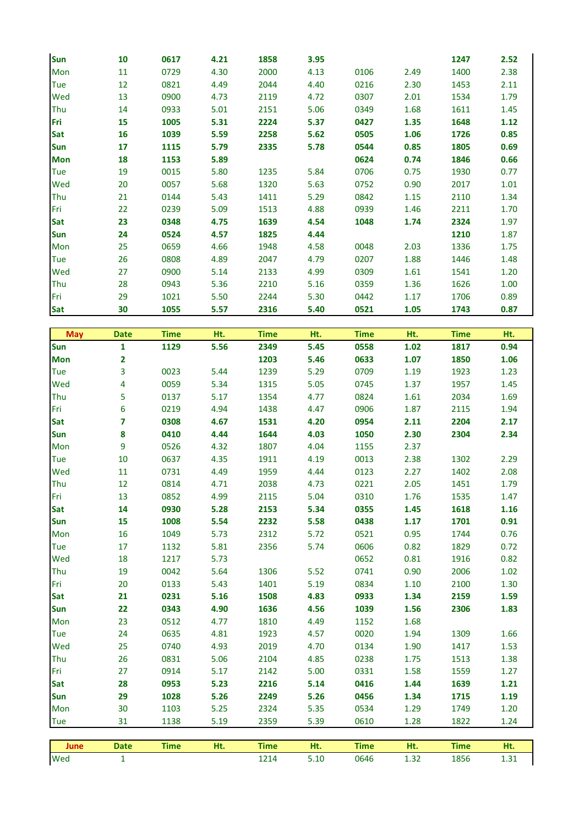| Sun        | 10 | 0617 | 4.21 | 1858 | 3.95 |      |      | 1247 | 2.52 |
|------------|----|------|------|------|------|------|------|------|------|
| Mon        | 11 | 0729 | 4.30 | 2000 | 4.13 | 0106 | 2.49 | 1400 | 2.38 |
| Tue        | 12 | 0821 | 4.49 | 2044 | 4.40 | 0216 | 2.30 | 1453 | 2.11 |
| Wed        | 13 | 0900 | 4.73 | 2119 | 4.72 | 0307 | 2.01 | 1534 | 1.79 |
| Thu        | 14 | 0933 | 5.01 | 2151 | 5.06 | 0349 | 1.68 | 1611 | 1.45 |
| Fri        | 15 | 1005 | 5.31 | 2224 | 5.37 | 0427 | 1.35 | 1648 | 1.12 |
| <b>Sat</b> | 16 | 1039 | 5.59 | 2258 | 5.62 | 0505 | 1.06 | 1726 | 0.85 |
| <b>Sun</b> | 17 | 1115 | 5.79 | 2335 | 5.78 | 0544 | 0.85 | 1805 | 0.69 |
| <b>Mon</b> | 18 | 1153 | 5.89 |      |      | 0624 | 0.74 | 1846 | 0.66 |
| <b>Tue</b> | 19 | 0015 | 5.80 | 1235 | 5.84 | 0706 | 0.75 | 1930 | 0.77 |
| Wed        | 20 | 0057 | 5.68 | 1320 | 5.63 | 0752 | 0.90 | 2017 | 1.01 |
| Thu        | 21 | 0144 | 5.43 | 1411 | 5.29 | 0842 | 1.15 | 2110 | 1.34 |
| Fri        | 22 | 0239 | 5.09 | 1513 | 4.88 | 0939 | 1.46 | 2211 | 1.70 |
| <b>Sat</b> | 23 | 0348 | 4.75 | 1639 | 4.54 | 1048 | 1.74 | 2324 | 1.97 |
| <b>Sun</b> | 24 | 0524 | 4.57 | 1825 | 4.44 |      |      | 1210 | 1.87 |
| Mon        | 25 | 0659 | 4.66 | 1948 | 4.58 | 0048 | 2.03 | 1336 | 1.75 |
| Tue        | 26 | 0808 | 4.89 | 2047 | 4.79 | 0207 | 1.88 | 1446 | 1.48 |
| Wed        | 27 | 0900 | 5.14 | 2133 | 4.99 | 0309 | 1.61 | 1541 | 1.20 |
| Thu        | 28 | 0943 | 5.36 | 2210 | 5.16 | 0359 | 1.36 | 1626 | 1.00 |
| Fri        | 29 | 1021 | 5.50 | 2244 | 5.30 | 0442 | 1.17 | 1706 | 0.89 |
| <b>Sat</b> | 30 | 1055 | 5.57 | 2316 | 5.40 | 0521 | 1.05 | 1743 | 0.87 |

| <b>May</b> | <b>Date</b>             | <b>Time</b> | Ht.  | <b>Time</b> | Ht.  | <b>Time</b> | Ht.  | <b>Time</b> | Ht.  |
|------------|-------------------------|-------------|------|-------------|------|-------------|------|-------------|------|
| Sun        | $\mathbf{1}$            | 1129        | 5.56 | 2349        | 5.45 | 0558        | 1.02 | 1817        | 0.94 |
| <b>Mon</b> | $\overline{\mathbf{2}}$ |             |      | 1203        | 5.46 | 0633        | 1.07 | 1850        | 1.06 |
| Tue        | 3                       | 0023        | 5.44 | 1239        | 5.29 | 0709        | 1.19 | 1923        | 1.23 |
| Wed        | 4                       | 0059        | 5.34 | 1315        | 5.05 | 0745        | 1.37 | 1957        | 1.45 |
| Thu        | 5                       | 0137        | 5.17 | 1354        | 4.77 | 0824        | 1.61 | 2034        | 1.69 |
| Fri        | 6                       | 0219        | 4.94 | 1438        | 4.47 | 0906        | 1.87 | 2115        | 1.94 |
| Sat        | 7                       | 0308        | 4.67 | 1531        | 4.20 | 0954        | 2.11 | 2204        | 2.17 |
| Sun        | 8                       | 0410        | 4.44 | 1644        | 4.03 | 1050        | 2.30 | 2304        | 2.34 |
| Mon        | 9                       | 0526        | 4.32 | 1807        | 4.04 | 1155        | 2.37 |             |      |
| Tue        | 10                      | 0637        | 4.35 | 1911        | 4.19 | 0013        | 2.38 | 1302        | 2.29 |
| Wed        | $11\,$                  | 0731        | 4.49 | 1959        | 4.44 | 0123        | 2.27 | 1402        | 2.08 |
| Thu        | 12                      | 0814        | 4.71 | 2038        | 4.73 | 0221        | 2.05 | 1451        | 1.79 |
| Fri        | 13                      | 0852        | 4.99 | 2115        | 5.04 | 0310        | 1.76 | 1535        | 1.47 |
| Sat        | 14                      | 0930        | 5.28 | 2153        | 5.34 | 0355        | 1.45 | 1618        | 1.16 |
| Sun        | 15                      | 1008        | 5.54 | 2232        | 5.58 | 0438        | 1.17 | 1701        | 0.91 |
| Mon        | 16                      | 1049        | 5.73 | 2312        | 5.72 | 0521        | 0.95 | 1744        | 0.76 |
| Tue        | 17                      | 1132        | 5.81 | 2356        | 5.74 | 0606        | 0.82 | 1829        | 0.72 |
| Wed        | 18                      | 1217        | 5.73 |             |      | 0652        | 0.81 | 1916        | 0.82 |
| Thu        | 19                      | 0042        | 5.64 | 1306        | 5.52 | 0741        | 0.90 | 2006        | 1.02 |
| Fri        | 20                      | 0133        | 5.43 | 1401        | 5.19 | 0834        | 1.10 | 2100        | 1.30 |
| Sat        | 21                      | 0231        | 5.16 | 1508        | 4.83 | 0933        | 1.34 | 2159        | 1.59 |
| <b>Sun</b> | 22                      | 0343        | 4.90 | 1636        | 4.56 | 1039        | 1.56 | 2306        | 1.83 |
| Mon        | 23                      | 0512        | 4.77 | 1810        | 4.49 | 1152        | 1.68 |             |      |
| Tue        | 24                      | 0635        | 4.81 | 1923        | 4.57 | 0020        | 1.94 | 1309        | 1.66 |
| Wed        | 25                      | 0740        | 4.93 | 2019        | 4.70 | 0134        | 1.90 | 1417        | 1.53 |
| Thu        | 26                      | 0831        | 5.06 | 2104        | 4.85 | 0238        | 1.75 | 1513        | 1.38 |
| Fri        | 27                      | 0914        | 5.17 | 2142        | 5.00 | 0331        | 1.58 | 1559        | 1.27 |
| Sat        | 28                      | 0953        | 5.23 | 2216        | 5.14 | 0416        | 1.44 | 1639        | 1.21 |
| Sun        | 29                      | 1028        | 5.26 | 2249        | 5.26 | 0456        | 1.34 | 1715        | 1.19 |
| Mon        | 30                      | 1103        | 5.25 | 2324        | 5.35 | 0534        | 1.29 | 1749        | 1.20 |
| <b>Tue</b> | 31                      | 1138        | 5.19 | 2359        | 5.39 | 0610        | 1.28 | 1822        | 1.24 |
|            |                         |             |      |             |      |             |      |             |      |
| June       | <b>Date</b>             | <b>Time</b> | Ht.  | <b>Time</b> | Ht.  | <b>Time</b> | Ht.  | <b>Time</b> | Ht.  |
| Wed        | $\mathbf{1}$            |             |      | 1214        | 5.10 | 0646        | 1.32 | 1856        | 1.31 |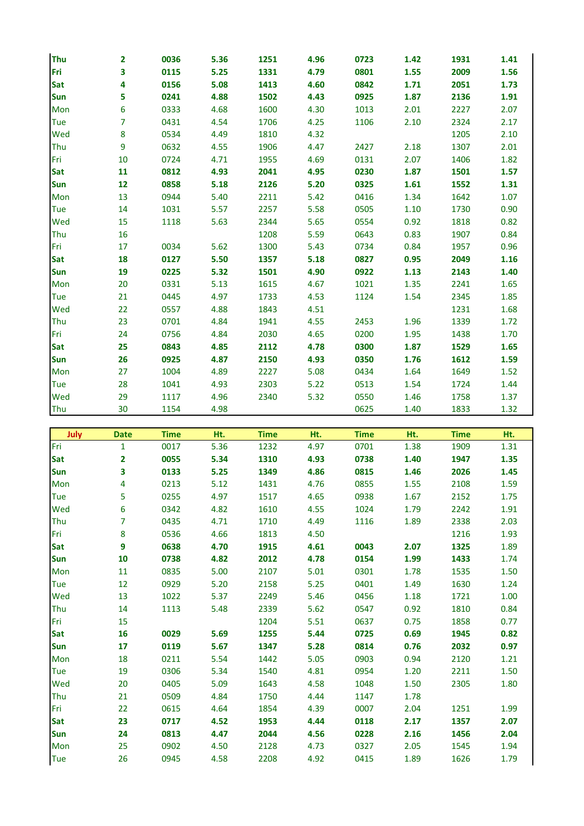| <b>Thu</b> | $\mathbf{2}$   | 0036 | 5.36 | 1251 | 4.96 | 0723 | 1.42 | 1931 | 1.41 |
|------------|----------------|------|------|------|------|------|------|------|------|
| Fri        | 3              | 0115 | 5.25 | 1331 | 4.79 | 0801 | 1.55 | 2009 | 1.56 |
| Sat        | 4              | 0156 | 5.08 | 1413 | 4.60 | 0842 | 1.71 | 2051 | 1.73 |
| <b>Sun</b> | 5              | 0241 | 4.88 | 1502 | 4.43 | 0925 | 1.87 | 2136 | 1.91 |
| Mon        | 6              | 0333 | 4.68 | 1600 | 4.30 | 1013 | 2.01 | 2227 | 2.07 |
| Tue        | $\overline{7}$ | 0431 | 4.54 | 1706 | 4.25 | 1106 | 2.10 | 2324 | 2.17 |
| Wed        | 8              | 0534 | 4.49 | 1810 | 4.32 |      |      | 1205 | 2.10 |
| Thu        | 9              | 0632 | 4.55 | 1906 | 4.47 | 2427 | 2.18 | 1307 | 2.01 |
| Fri        | 10             | 0724 | 4.71 | 1955 | 4.69 | 0131 | 2.07 | 1406 | 1.82 |
| <b>Sat</b> | 11             | 0812 | 4.93 | 2041 | 4.95 | 0230 | 1.87 | 1501 | 1.57 |
| <b>Sun</b> | 12             | 0858 | 5.18 | 2126 | 5.20 | 0325 | 1.61 | 1552 | 1.31 |
| Mon        | 13             | 0944 | 5.40 | 2211 | 5.42 | 0416 | 1.34 | 1642 | 1.07 |
| <b>Tue</b> | 14             | 1031 | 5.57 | 2257 | 5.58 | 0505 | 1.10 | 1730 | 0.90 |
| Wed        | 15             | 1118 | 5.63 | 2344 | 5.65 | 0554 | 0.92 | 1818 | 0.82 |
| Thu        | 16             |      |      | 1208 | 5.59 | 0643 | 0.83 | 1907 | 0.84 |
| Fri        | 17             | 0034 | 5.62 | 1300 | 5.43 | 0734 | 0.84 | 1957 | 0.96 |
| Sat        | 18             | 0127 | 5.50 | 1357 | 5.18 | 0827 | 0.95 | 2049 | 1.16 |
| <b>Sun</b> | 19             | 0225 | 5.32 | 1501 | 4.90 | 0922 | 1.13 | 2143 | 1.40 |
| Mon        | 20             | 0331 | 5.13 | 1615 | 4.67 | 1021 | 1.35 | 2241 | 1.65 |
| Tue        | 21             | 0445 | 4.97 | 1733 | 4.53 | 1124 | 1.54 | 2345 | 1.85 |
| Wed        | 22             | 0557 | 4.88 | 1843 | 4.51 |      |      | 1231 | 1.68 |
| Thu        | 23             | 0701 | 4.84 | 1941 | 4.55 | 2453 | 1.96 | 1339 | 1.72 |
| Fri        | 24             | 0756 | 4.84 | 2030 | 4.65 | 0200 | 1.95 | 1438 | 1.70 |
| Sat        | 25             | 0843 | 4.85 | 2112 | 4.78 | 0300 | 1.87 | 1529 | 1.65 |
| <b>Sun</b> | 26             | 0925 | 4.87 | 2150 | 4.93 | 0350 | 1.76 | 1612 | 1.59 |
| Mon        | 27             | 1004 | 4.89 | 2227 | 5.08 | 0434 | 1.64 | 1649 | 1.52 |
| Tue        | 28             | 1041 | 4.93 | 2303 | 5.22 | 0513 | 1.54 | 1724 | 1.44 |
| Wed        | 29             | 1117 | 4.96 | 2340 | 5.32 | 0550 | 1.46 | 1758 | 1.37 |
| Thu        | 30             | 1154 | 4.98 |      |      | 0625 | 1.40 | 1833 | 1.32 |

| <b>Solution</b> surface | <b>Date</b>             | <b>Time</b> | Ht.  | <b>Time</b> | Ht.  | <b>Time</b> | Ht.  | <b>Time</b> | Ht.  |
|-------------------------|-------------------------|-------------|------|-------------|------|-------------|------|-------------|------|
| Fri                     | $\mathbf{1}$            | 0017        | 5.36 | 1232        | 4.97 | 0701        | 1.38 | 1909        | 1.31 |
| Sat                     | $\overline{2}$          | 0055        | 5.34 | 1310        | 4.93 | 0738        | 1.40 | 1947        | 1.35 |
| <b>Sun</b>              | $\overline{\mathbf{3}}$ | 0133        | 5.25 | 1349        | 4.86 | 0815        | 1.46 | 2026        | 1.45 |
| Mon                     | 4                       | 0213        | 5.12 | 1431        | 4.76 | 0855        | 1.55 | 2108        | 1.59 |
| Tue                     | 5                       | 0255        | 4.97 | 1517        | 4.65 | 0938        | 1.67 | 2152        | 1.75 |
| Wed                     | 6                       | 0342        | 4.82 | 1610        | 4.55 | 1024        | 1.79 | 2242        | 1.91 |
| Thu                     | $\overline{7}$          | 0435        | 4.71 | 1710        | 4.49 | 1116        | 1.89 | 2338        | 2.03 |
| Fri                     | 8                       | 0536        | 4.66 | 1813        | 4.50 |             |      | 1216        | 1.93 |
| Sat                     | 9                       | 0638        | 4.70 | 1915        | 4.61 | 0043        | 2.07 | 1325        | 1.89 |
| <b>Sun</b>              | 10                      | 0738        | 4.82 | 2012        | 4.78 | 0154        | 1.99 | 1433        | 1.74 |
| Mon                     | 11                      | 0835        | 5.00 | 2107        | 5.01 | 0301        | 1.78 | 1535        | 1.50 |
| Tue                     | 12                      | 0929        | 5.20 | 2158        | 5.25 | 0401        | 1.49 | 1630        | 1.24 |
| Wed                     | 13                      | 1022        | 5.37 | 2249        | 5.46 | 0456        | 1.18 | 1721        | 1.00 |
| Thu                     | 14                      | 1113        | 5.48 | 2339        | 5.62 | 0547        | 0.92 | 1810        | 0.84 |
| Fri                     | 15                      |             |      | 1204        | 5.51 | 0637        | 0.75 | 1858        | 0.77 |
| <b>Sat</b>              | 16                      | 0029        | 5.69 | 1255        | 5.44 | 0725        | 0.69 | 1945        | 0.82 |
| <b>Sun</b>              | 17                      | 0119        | 5.67 | 1347        | 5.28 | 0814        | 0.76 | 2032        | 0.97 |
| Mon                     | 18                      | 0211        | 5.54 | 1442        | 5.05 | 0903        | 0.94 | 2120        | 1.21 |
| Tue                     | 19                      | 0306        | 5.34 | 1540        | 4.81 | 0954        | 1.20 | 2211        | 1.50 |
| Wed                     | 20                      | 0405        | 5.09 | 1643        | 4.58 | 1048        | 1.50 | 2305        | 1.80 |
| Thu                     | 21                      | 0509        | 4.84 | 1750        | 4.44 | 1147        | 1.78 |             |      |
| Fri                     | 22                      | 0615        | 4.64 | 1854        | 4.39 | 0007        | 2.04 | 1251        | 1.99 |
| <b>Sat</b>              | 23                      | 0717        | 4.52 | 1953        | 4.44 | 0118        | 2.17 | 1357        | 2.07 |
| Sun                     | 24                      | 0813        | 4.47 | 2044        | 4.56 | 0228        | 2.16 | 1456        | 2.04 |
| Mon                     | 25                      | 0902        | 4.50 | 2128        | 4.73 | 0327        | 2.05 | 1545        | 1.94 |
| Tue                     | 26                      | 0945        | 4.58 | 2208        | 4.92 | 0415        | 1.89 | 1626        | 1.79 |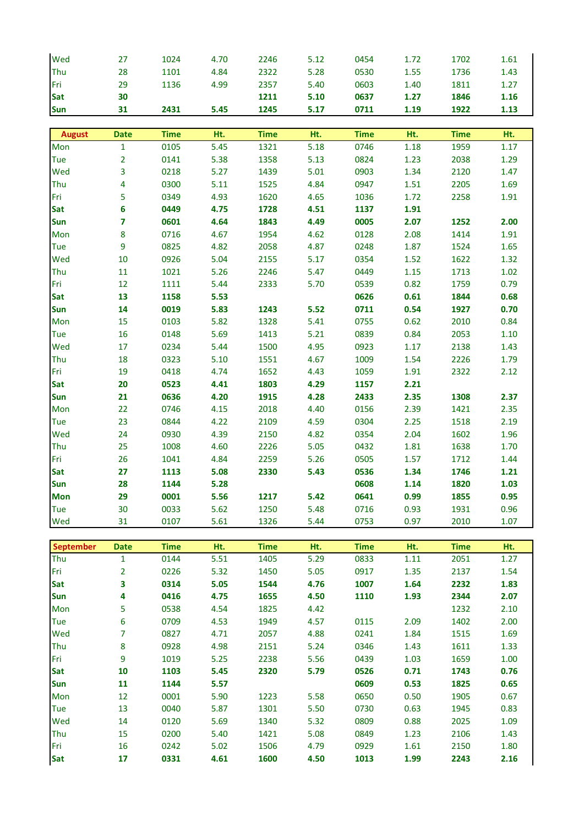| Wed              |              |             |      |             |      |             |          |             |          |
|------------------|--------------|-------------|------|-------------|------|-------------|----------|-------------|----------|
|                  | 27           | 1024        | 4.70 | 2246        | 5.12 | 0454        | 1.72     | 1702        | 1.61     |
| Thu              | 28           | 1101        | 4.84 | 2322        | 5.28 | 0530        | 1.55     | 1736        | 1.43     |
| Fri              | 29           | 1136        | 4.99 | 2357        | 5.40 | 0603        | 1.40     | 1811        | 1.27     |
| <b>Sat</b>       | 30           |             |      | 1211        | 5.10 | 0637        | 1.27     | 1846        | 1.16     |
| <b>Sun</b>       | 31           | 2431        | 5.45 | 1245        | 5.17 | 0711        | 1.19     | 1922        | 1.13     |
|                  |              |             |      |             |      |             |          |             |          |
| August           | <b>Date</b>  | <b>Time</b> | Ht.  | <b>Time</b> | Ht.  | <b>Time</b> | Ht.      | <b>Time</b> | Ht.      |
| Mon              | $\mathbf{1}$ | 0105        | 5.45 | 1321        | 5.18 | 0746        | 1.18     | 1959        | 1.17     |
| Tue              | 2            | 0141        | 5.38 | 1358        | 5.13 | 0824        | 1.23     | 2038        | 1.29     |
| Wed              | 3            | 0218        | 5.27 | 1439        | 5.01 | 0903        | 1.34     | 2120        | 1.47     |
| Thu              | 4            | 0300        | 5.11 | 1525        | 4.84 | 0947        | $1.51\,$ | 2205        | 1.69     |
| Fri              | 5            | 0349        | 4.93 | 1620        | 4.65 | 1036        | 1.72     | 2258        | 1.91     |
| <b>Sat</b>       | 6            | 0449        | 4.75 | 1728        | 4.51 | 1137        | 1.91     |             |          |
| Sun              | 7            | 0601        | 4.64 | 1843        | 4.49 | 0005        | 2.07     | 1252        | 2.00     |
| Mon              | 8            | 0716        | 4.67 | 1954        | 4.62 | 0128        | 2.08     | 1414        | 1.91     |
| Tue              | 9            | 0825        | 4.82 | 2058        | 4.87 | 0248        | 1.87     | 1524        | 1.65     |
| Wed              | 10           | 0926        | 5.04 | 2155        | 5.17 | 0354        | 1.52     | 1622        | 1.32     |
| Thu              | 11           | 1021        | 5.26 | 2246        | 5.47 | 0449        | 1.15     | 1713        | 1.02     |
| Fri              | 12           | 1111        | 5.44 | 2333        | 5.70 | 0539        | 0.82     | 1759        | 0.79     |
| <b>Sat</b>       | 13           | 1158        | 5.53 |             |      | 0626        | 0.61     | 1844        | 0.68     |
|                  |              |             |      |             |      |             |          |             |          |
| <b>Sun</b>       | 14           | 0019        | 5.83 | 1243        | 5.52 | 0711        | 0.54     | 1927        | 0.70     |
| Mon              | 15           | 0103        | 5.82 | 1328        | 5.41 | 0755        | 0.62     | 2010        | 0.84     |
| Tue              | 16           | 0148        | 5.69 | 1413        | 5.21 | 0839        | 0.84     | 2053        | $1.10\,$ |
| Wed              | 17           | 0234        | 5.44 | 1500        | 4.95 | 0923        | 1.17     | 2138        | 1.43     |
| Thu              | 18           | 0323        | 5.10 | 1551        | 4.67 | 1009        | 1.54     | 2226        | 1.79     |
| Fri              | 19           | 0418        | 4.74 | 1652        | 4.43 | 1059        | 1.91     | 2322        | 2.12     |
| Sat              | 20           | 0523        | 4.41 | 1803        | 4.29 | 1157        | 2.21     |             |          |
| <b>Sun</b>       | 21           | 0636        | 4.20 | 1915        | 4.28 | 2433        | 2.35     | 1308        | 2.37     |
| Mon              | 22           | 0746        | 4.15 | 2018        | 4.40 | 0156        | 2.39     | 1421        | 2.35     |
| Tue              | 23           | 0844        | 4.22 | 2109        | 4.59 | 0304        | 2.25     | 1518        | 2.19     |
| Wed              | 24           | 0930        | 4.39 | 2150        | 4.82 | 0354        | 2.04     | 1602        | 1.96     |
| Thu              | 25           | 1008        | 4.60 | 2226        | 5.05 | 0432        | 1.81     | 1638        | 1.70     |
| Fri              | 26           | 1041        | 4.84 | 2259        | 5.26 | 0505        | 1.57     | 1712        | 1.44     |
| Sat              | 27           | 1113        | 5.08 | 2330        | 5.43 | 0536        | 1.34     | 1746        | 1.21     |
| <b>Sun</b>       | 28           | 1144        | 5.28 |             |      | 0608        | 1.14     | 1820        | 1.03     |
| <b>Mon</b>       | 29           | 0001        | 5.56 | 1217        | 5.42 | 0641        | 0.99     | 1855        | 0.95     |
| Tue              | 30           | 0033        | 5.62 | 1250        | 5.48 | 0716        | 0.93     | 1931        | 0.96     |
| Wed              | 31           | 0107        | 5.61 | 1326        | 5.44 | 0753        | 0.97     | 2010        | 1.07     |
|                  |              |             |      |             |      |             |          |             |          |
| <b>September</b> | <b>Date</b>  | <b>Time</b> | Ht.  | <b>Time</b> | Ht.  | <b>Time</b> | Ht.      | <b>Time</b> | Ht.      |
| Thu              | $\mathbf{1}$ | 0144        | 5.51 | 1405        | 5.29 | 0833        | 1.11     | 2051        | 1.27     |
| Fri              | 2            | 0226        | 5.32 | 1450        | 5.05 | 0917        | 1.35     | 2137        | 1.54     |
| Sat              | 3            | 0314        | 5.05 | 1544        | 4.76 | 1007        | 1.64     | 2232        | 1.83     |
| Sun              | 4            | 0416        | 4.75 | 1655        | 4.50 | 1110        | 1.93     | 2344        | 2.07     |
| Mon              | 5            | 0538        | 4.54 | 1825        | 4.42 |             |          | 1232        | 2.10     |
| Tue              | 6            | 0709        | 4.53 | 1949        | 4.57 | 0115        | 2.09     | 1402        | 2.00     |
| Wed              | 7            | 0827        | 4.71 | 2057        | 4.88 | 0241        | 1.84     | 1515        | 1.69     |
| Thu              | 8            | 0928        | 4.98 | 2151        | 5.24 | 0346        | 1.43     | 1611        | 1.33     |
| Fri              | 9            | 1019        | 5.25 | 2238        | 5.56 | 0439        | 1.03     | 1659        | 1.00     |
| Sat              | 10           | 1103        | 5.45 | 2320        | 5.79 | 0526        | 0.71     | 1743        | 0.76     |
| Sun              | 11           | 1144        | 5.57 |             |      | 0609        | 0.53     | 1825        | 0.65     |
| Mon              | 12           | 0001        | 5.90 | 1223        | 5.58 | 0650        | 0.50     | 1905        | 0.67     |
| Tue              | 13           | 0040        | 5.87 | 1301        | 5.50 | 0730        | 0.63     | 1945        | 0.83     |
| Wed              | 14           | 0120        | 5.69 | 1340        | 5.32 | 0809        | 0.88     | 2025        | 1.09     |
| Thu              | 15           | 0200        | 5.40 | 1421        | 5.08 | 0849        | 1.23     | 2106        | 1.43     |
| Fri              | 16           | 0242        | 5.02 | 1506        | 4.79 | 0929        | 1.61     | 2150        | 1.80     |
| <b>Sat</b>       | 17           | 0331        | 4.61 | 1600        | 4.50 | 1013        | 1.99     | 2243        | 2.16     |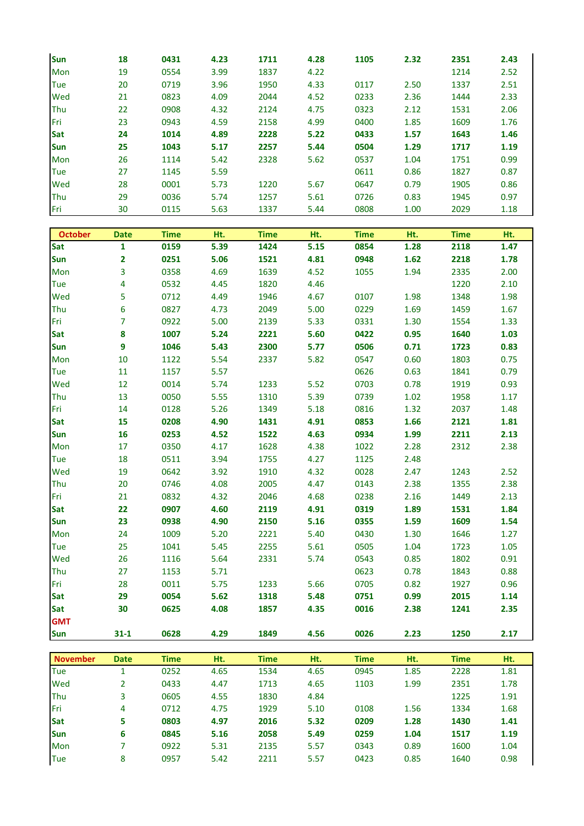| Sun         | 18 | 0431 | 4.23 | 1711 | 4.28 | 1105 | 2.32 | 2351 | 2.43 |
|-------------|----|------|------|------|------|------|------|------|------|
| Mon         | 19 | 0554 | 3.99 | 1837 | 4.22 |      |      | 1214 | 2.52 |
| <b>Tue</b>  | 20 | 0719 | 3.96 | 1950 | 4.33 | 0117 | 2.50 | 1337 | 2.51 |
| Wed         | 21 | 0823 | 4.09 | 2044 | 4.52 | 0233 | 2.36 | 1444 | 2.33 |
| Thu         | 22 | 0908 | 4.32 | 2124 | 4.75 | 0323 | 2.12 | 1531 | 2.06 |
| <b>IFri</b> | 23 | 0943 | 4.59 | 2158 | 4.99 | 0400 | 1.85 | 1609 | 1.76 |
| Sat         | 24 | 1014 | 4.89 | 2228 | 5.22 | 0433 | 1.57 | 1643 | 1.46 |
| <b>Sun</b>  | 25 | 1043 | 5.17 | 2257 | 5.44 | 0504 | 1.29 | 1717 | 1.19 |
| Mon         | 26 | 1114 | 5.42 | 2328 | 5.62 | 0537 | 1.04 | 1751 | 0.99 |
| <b>Tue</b>  | 27 | 1145 | 5.59 |      |      | 0611 | 0.86 | 1827 | 0.87 |
| Wed         | 28 | 0001 | 5.73 | 1220 | 5.67 | 0647 | 0.79 | 1905 | 0.86 |
| Thu         | 29 | 0036 | 5.74 | 1257 | 5.61 | 0726 | 0.83 | 1945 | 0.97 |
| Fri         | 30 | 0115 | 5.63 | 1337 | 5.44 | 0808 | 1.00 | 2029 | 1.18 |

| <b>October</b> | <b>Date</b>             | <b>Time</b> | Ht.  | <b>Time</b> | Ht.  | <b>Time</b> | Ht.  | <b>Time</b> | Ht.  |
|----------------|-------------------------|-------------|------|-------------|------|-------------|------|-------------|------|
| Sat            | $\mathbf{1}$            | 0159        | 5.39 | 1424        | 5.15 | 0854        | 1.28 | 2118        | 1.47 |
| <b>Sun</b>     | $\overline{\mathbf{2}}$ | 0251        | 5.06 | 1521        | 4.81 | 0948        | 1.62 | 2218        | 1.78 |
| Mon            | 3                       | 0358        | 4.69 | 1639        | 4.52 | 1055        | 1.94 | 2335        | 2.00 |
| Tue            | 4                       | 0532        | 4.45 | 1820        | 4.46 |             |      | 1220        | 2.10 |
| Wed            | 5                       | 0712        | 4.49 | 1946        | 4.67 | 0107        | 1.98 | 1348        | 1.98 |
| Thu            | 6                       | 0827        | 4.73 | 2049        | 5.00 | 0229        | 1.69 | 1459        | 1.67 |
| Fri            | $\overline{7}$          | 0922        | 5.00 | 2139        | 5.33 | 0331        | 1.30 | 1554        | 1.33 |
| Sat            | 8                       | 1007        | 5.24 | 2221        | 5.60 | 0422        | 0.95 | 1640        | 1.03 |
| Sun            | 9                       | 1046        | 5.43 | 2300        | 5.77 | 0506        | 0.71 | 1723        | 0.83 |
| Mon            | 10                      | 1122        | 5.54 | 2337        | 5.82 | 0547        | 0.60 | 1803        | 0.75 |
| Tue            | 11                      | 1157        | 5.57 |             |      | 0626        | 0.63 | 1841        | 0.79 |
| Wed            | 12                      | 0014        | 5.74 | 1233        | 5.52 | 0703        | 0.78 | 1919        | 0.93 |
| Thu            | 13                      | 0050        | 5.55 | 1310        | 5.39 | 0739        | 1.02 | 1958        | 1.17 |
| Fri            | 14                      | 0128        | 5.26 | 1349        | 5.18 | 0816        | 1.32 | 2037        | 1.48 |
| Sat            | 15                      | 0208        | 4.90 | 1431        | 4.91 | 0853        | 1.66 | 2121        | 1.81 |
| Sun            | 16                      | 0253        | 4.52 | 1522        | 4.63 | 0934        | 1.99 | 2211        | 2.13 |
| Mon            | 17                      | 0350        | 4.17 | 1628        | 4.38 | 1022        | 2.28 | 2312        | 2.38 |
| Tue            | 18                      | 0511        | 3.94 | 1755        | 4.27 | 1125        | 2.48 |             |      |
| Wed            | 19                      | 0642        | 3.92 | 1910        | 4.32 | 0028        | 2.47 | 1243        | 2.52 |
| Thu            | 20                      | 0746        | 4.08 | 2005        | 4.47 | 0143        | 2.38 | 1355        | 2.38 |
| Fri            | 21                      | 0832        | 4.32 | 2046        | 4.68 | 0238        | 2.16 | 1449        | 2.13 |
| <b>Sat</b>     | 22                      | 0907        | 4.60 | 2119        | 4.91 | 0319        | 1.89 | 1531        | 1.84 |
| <b>Sun</b>     | 23                      | 0938        | 4.90 | 2150        | 5.16 | 0355        | 1.59 | 1609        | 1.54 |
| Mon            | 24                      | 1009        | 5.20 | 2221        | 5.40 | 0430        | 1.30 | 1646        | 1.27 |
| Tue            | 25                      | 1041        | 5.45 | 2255        | 5.61 | 0505        | 1.04 | 1723        | 1.05 |
| Wed            | 26                      | 1116        | 5.64 | 2331        | 5.74 | 0543        | 0.85 | 1802        | 0.91 |
| Thu            | 27                      | 1153        | 5.71 |             |      | 0623        | 0.78 | 1843        | 0.88 |
| Fri            | 28                      | 0011        | 5.75 | 1233        | 5.66 | 0705        | 0.82 | 1927        | 0.96 |
| Sat            | 29                      | 0054        | 5.62 | 1318        | 5.48 | 0751        | 0.99 | 2015        | 1.14 |
| <b>Sat</b>     | 30                      | 0625        | 4.08 | 1857        | 4.35 | 0016        | 2.38 | 1241        | 2.35 |
| <b>GMT</b>     |                         |             |      |             |      |             |      |             |      |
| Sun            | $31 - 1$                | 0628        | 4.29 | 1849        | 4.56 | 0026        | 2.23 | 1250        | 2.17 |

| <b>November</b> | <b>Date</b> | Time | Ht.  | <b>Time</b> | Ht.  | <b>Time</b> | Ht.  | <b>Time</b> | Ht.  |
|-----------------|-------------|------|------|-------------|------|-------------|------|-------------|------|
| Tue             |             | 0252 | 4.65 | 1534        | 4.65 | 0945        | 1.85 | 2228        | 1.81 |
| Wed             |             | 0433 | 4.47 | 1713        | 4.65 | 1103        | 1.99 | 2351        | 1.78 |
| <b>Thu</b>      |             | 0605 | 4.55 | 1830        | 4.84 |             |      | 1225        | 1.91 |
| <b>IFri</b>     | 4           | 0712 | 4.75 | 1929        | 5.10 | 0108        | 1.56 | 1334        | 1.68 |
| Sat             | 5           | 0803 | 4.97 | 2016        | 5.32 | 0209        | 1.28 | 1430        | 1.41 |
| <b>Sun</b>      | 6           | 0845 | 5.16 | 2058        | 5.49 | 0259        | 1.04 | 1517        | 1.19 |
| Mon             |             | 0922 | 5.31 | 2135        | 5.57 | 0343        | 0.89 | 1600        | 1.04 |
| Tue             | 8           | 0957 | 5.42 | 2211        | 5.57 | 0423        | 0.85 | 1640        | 0.98 |